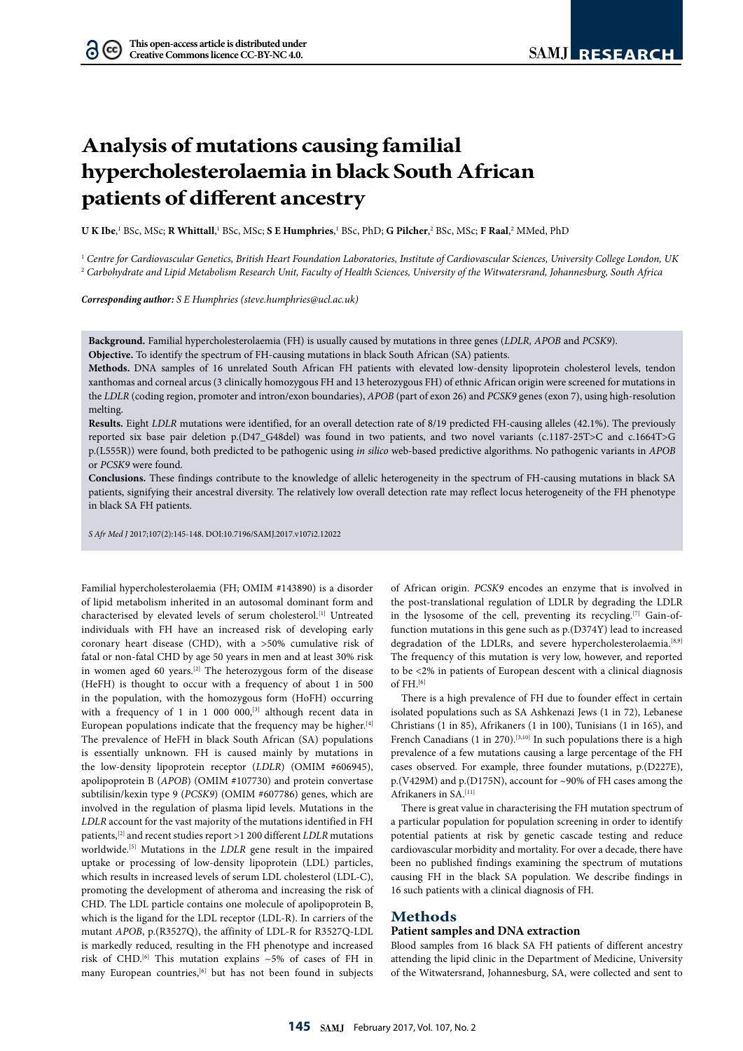# **Analysis of mutations causing familial hypercholesterolaemia in black South African patients of different ancestry**

U K Ibe,<sup>1</sup> BSc, MSc; **R Whittall**,<sup>1</sup> BSc, MSc; S E Humphries,<sup>1</sup> BSc, PhD; G Pilcher,<sup>2</sup> BSc, MSc; F Raal,<sup>2</sup> MMed, PhD

<sup>1</sup> *Centre for Cardiovascular Genetics, British Heart Foundation Laboratories, Institute of Cardiovascular Sciences, University College London, UK* <sup>2</sup> *Carbohydrate and Lipid Metabolism Research Unit, Faculty of Health Sciences, University of the Witwatersrand, Johannesburg, South Africa*

*Corresponding author: S E Humphries (steve.humphries@ucl.ac.uk)*

**Background.** Familial hypercholesterolaemia (FH) is usually caused by mutations in three genes (*LDLR, APOB* and *PCSK9*).

**Objective.** To identify the spectrum of FH-causing mutations in black South African (SA) patients.

**Methods.** DNA samples of 16 unrelated South African FH patients with elevated low-density lipoprotein cholesterol levels, tendon xanthomas and corneal arcus (3 clinically homozygous FH and 13 heterozygous FH) of ethnic African origin were screened for mutations in the *LDLR* (coding region, promoter and intron/exon boundaries), *APOB* (part of exon 26) and *PCSK9* genes (exon 7), using high-resolution melting.

**Results.** Eight *LDLR* mutations were identified, for an overall detection rate of 8/19 predicted FH-causing alleles (42.1%). The previously reported six base pair deletion p.(D47\_G48del) was found in two patients, and two novel variants (c.1187-25T>C and c.1664T>G p.(L555R)) were found, both predicted to be pathogenic using *in silico* web-based predictive algorithms. No pathogenic variants in *APOB* or *PCSK9* were found.

**Conclusions.** These findings contribute to the knowledge of allelic heterogeneity in the spectrum of FH-causing mutations in black SA patients, signifying their ancestral diversity. The relatively low overall detection rate may reflect locus heterogeneity of the FH phenotype in black SA FH patients.

*S Afr Med J* 2017;107(2):145-148. DOI:10.7196/SAMJ.2017.v107i2.12022

Familial hypercholesterolaemia (FH; OMIM #143890) is a disorder of lipid metabolism inherited in an autosomal dominant form and characterised by elevated levels of serum cholesterol.[1] Untreated individuals with FH have an increased risk of developing early coronary heart disease (CHD), with a >50% cumulative risk of fatal or non-fatal CHD by age 50 years in men and at least 30% risk in women aged 60 years.<sup>[2]</sup> The heterozygous form of the disease (HeFH) is thought to occur with a frequency of about 1 in 500 in the population, with the homozygous form (HoFH) occurring with a frequency of 1 in 1 000 000,<sup>[3]</sup> although recent data in European populations indicate that the frequency may be higher.<sup>[4]</sup> The prevalence of HeFH in black South African (SA) populations is essentially unknown. FH is caused mainly by mutations in the low-density lipoprotein receptor (*LDLR*) (OMIM #606945), apolipoprotein B (*APOB*) (OMIM #107730) and protein convertase subtilisin/kexin type 9 (*PCSK9*) (OMIM #607786) genes, which are involved in the regulation of plasma lipid levels. Mutations in the *LDLR* account for the vast majority of the mutations identified in FH patients,[2] and recent studies report >1 200 different *LDLR* mutations worldwide.[5] Mutations in the *LDLR* gene result in the impaired uptake or processing of low-density lipoprotein (LDL) particles, which results in increased levels of serum LDL cholesterol (LDL-C), promoting the development of atheroma and increasing the risk of CHD. The LDL particle contains one molecule of apolipoprotein B, which is the ligand for the LDL receptor (LDL-R). In carriers of the mutant *APOB*, p.(R3527Q), the affinity of LDL-R for R3527Q-LDL is markedly reduced, resulting in the FH phenotype and increased risk of CHD.[6] This mutation explains ~5% of cases of FH in many European countries,<sup>[6]</sup> but has not been found in subjects

of African origin. *PCSK9* encodes an enzyme that is involved in the post-translational regulation of LDLR by degrading the LDLR in the lysosome of the cell, preventing its recycling.<sup>[7]</sup> Gain-offunction mutations in this gene such as p.(D374Y) lead to increased degradation of the LDLRs, and severe hypercholesterolaemia.[8,9] The frequency of this mutation is very low, however, and reported to be <2% in patients of European descent with a clinical diagnosis of FH. $^{[6]}$ 

There is a high prevalence of FH due to founder effect in certain isolated populations such as SA Ashkenazi Jews (1 in 72), Lebanese Christians (1 in 85), Afrikaners (1 in 100), Tunisians (1 in 165), and French Canadians (1 in 270).<sup>[3,10]</sup> In such populations there is a high prevalence of a few mutations causing a large percentage of the FH cases observed. For example, three founder mutations, p.(D227E), p.(V429M) and p.(D175N), account for ~90% of FH cases among the Afrikaners in SA.<sup>[11]</sup>

There is great value in characterising the FH mutation spectrum of a particular population for population screening in order to identify potential patients at risk by genetic cascade testing and reduce cardiovascular morbidity and mortality. For over a decade, there have been no published findings examining the spectrum of mutations causing FH in the black SA population. We describe findings in 16 such patients with a clinical diagnosis of FH.

# **Methods**

# **Patient samples and DNA extraction**

Blood samples from 16 black SA FH patients of different ancestry attending the lipid clinic in the Department of Medicine, University of the Witwatersrand, Johannesburg, SA, were collected and sent to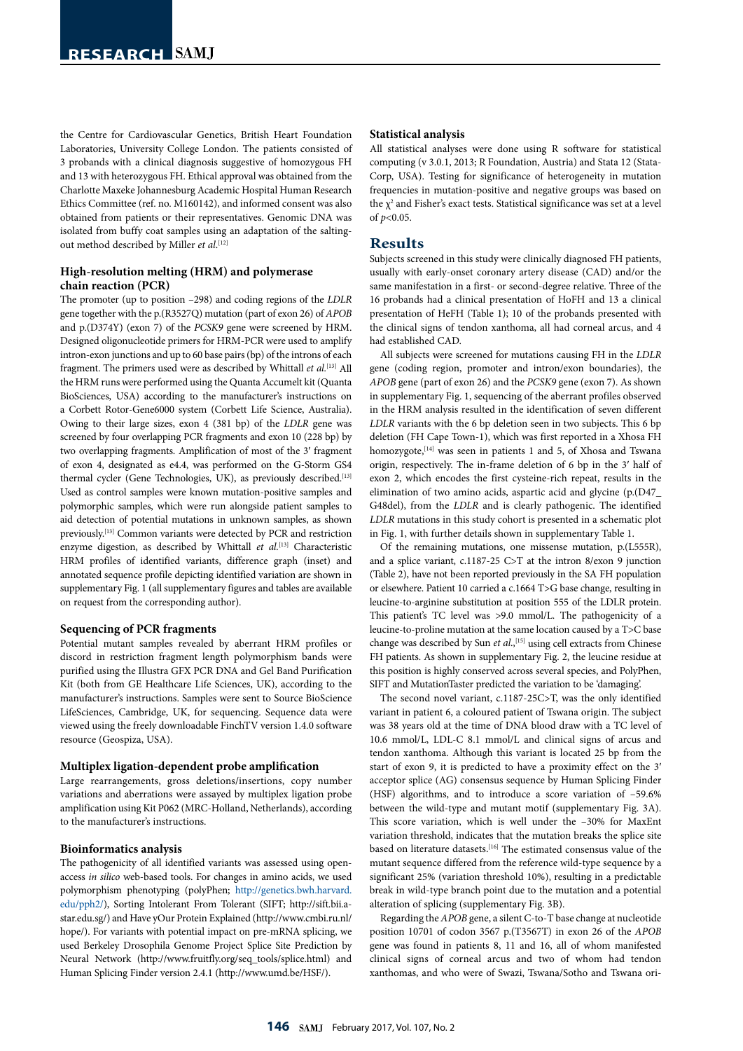the Centre for Cardiovascular Genetics, British Heart Foundation Laboratories, University College London. The patients consisted of 3 probands with a clinical diagnosis suggestive of homozygous FH and 13 with heterozygous FH. Ethical approval was obtained from the Charlotte Maxeke Johannesburg Academic Hospital Human Research Ethics Committee (ref. no. M160142), and informed consent was also obtained from patients or their representatives. Genomic DNA was isolated from buffy coat samples using an adaptation of the saltingout method described by Miller *et al*. [12]

# **High-resolution melting (HRM) and polymerase chain reaction (PCR)**

The promoter (up to position –298) and coding regions of the *LDLR* gene together with the p.(R3527Q) mutation (part of exon 26) of *APOB* and p.(D374Y) (exon 7) of the *PCSK9* gene were screened by HRM. Designed oligonucleotide primers for HRM-PCR were used to amplify intron-exon junctions and up to 60 base pairs (bp) of the introns of each fragment. The primers used were as described by Whittall *et al.*[13] All the HRM runs were performed using the Quanta Accumelt kit (Quanta BioSciences, USA) according to the manufacturer's instructions on a Corbett Rotor-Gene6000 system (Corbett Life Science, Australia). Owing to their large sizes, exon 4 (381 bp) of the *LDLR* gene was screened by four overlapping PCR fragments and exon 10 (228 bp) by two overlapping fragments. Amplification of most of the 3ʹ fragment of exon 4, designated as e4.4, was performed on the G-Storm GS4 thermal cycler (Gene Technologies, UK), as previously described.<sup>[13]</sup> Used as control samples were known mutation-positive samples and polymorphic samples, which were run alongside patient samples to aid detection of potential mutations in unknown samples, as shown previously.[13] Common variants were detected by PCR and restriction enzyme digestion, as described by Whittall *et al.*<sup>[13]</sup> Characteristic HRM profiles of identified variants, difference graph (inset) and annotated sequence profile depicting identified variation are shown in supplementary Fig. 1 (all supplementary figures and tables are available on request from the corresponding author).

#### **Sequencing of PCR fragments**

Potential mutant samples revealed by aberrant HRM profiles or discord in restriction fragment length polymorphism bands were purified using the Illustra GFX PCR DNA and Gel Band Purification Kit (both from GE Healthcare Life Sciences, UK), according to the manufacturer's instructions. Samples were sent to Source BioScience LifeSciences, Cambridge, UK, for sequencing. Sequence data were viewed using the freely downloadable FinchTV version 1.4.0 software resource (Geospiza, USA).

#### **Multiplex ligation-dependent probe amplification**

Large rearrangements, gross deletions/insertions, copy number variations and aberrations were assayed by multiplex ligation probe amplification using Kit P062 (MRC-Holland, Netherlands), according to the manufacturer's instructions.

#### **Bioinformatics analysis**

The pathogenicity of all identified variants was assessed using openaccess *in silico* web-based tools. For changes in amino acids, we used polymorphism phenotyping (polyPhen; [http://genetics.bwh.harvard.](http://genetics.bwh.harvard.edu/pph2/) [edu/pph2/\)](http://genetics.bwh.harvard.edu/pph2/), Sorting Intolerant From Tolerant (SIFT; http://sift.bii.astar.edu.sg/) and Have yOur Protein Explained (http://www.cmbi.ru.nl/ hope/). For variants with potential impact on pre-mRNA splicing, we used Berkeley Drosophila Genome Project Splice Site Prediction by Neural Network (http://www.fruitfly.org/seq\_tools/splice.html) and Human Splicing Finder version 2.4.1 (http://www.umd.be/HSF/).

#### **Statistical analysis**

All statistical analyses were done using R software for statistical computing (v 3.0.1, 2013; R Foundation, Austria) and Stata 12 (Stata-Corp, USA). Testing for significance of heterogeneity in mutation frequencies in mutation-positive and negative groups was based on the  $\chi^2$  and Fisher's exact tests. Statistical significance was set at a level of *p*<0.05.

#### **Results**

Subjects screened in this study were clinically diagnosed FH patients, usually with early-onset coronary artery disease (CAD) and/or the same manifestation in a first- or second-degree relative. Three of the 16 probands had a clinical presentation of HoFH and 13 a clinical presentation of HeFH (Table 1); 10 of the probands presented with the clinical signs of tendon xanthoma, all had corneal arcus, and 4 had established CAD.

All subjects were screened for mutations causing FH in the *LDLR* gene (coding region, promoter and intron/exon boundaries), the *APOB* gene (part of exon 26) and the *PCSK9* gene (exon 7). As shown in supplementary Fig. 1, sequencing of the aberrant profiles observed in the HRM analysis resulted in the identification of seven different *LDLR* variants with the 6 bp deletion seen in two subjects. This 6 bp deletion (FH Cape Town-1), which was first reported in a Xhosa FH homozygote,<sup>[14]</sup> was seen in patients 1 and 5, of Xhosa and Tswana origin, respectively. The in-frame deletion of 6 bp in the 3ʹ half of exon 2, which encodes the first cysteine-rich repeat, results in the elimination of two amino acids, aspartic acid and glycine (p.(D47\_ G48del), from the *LDLR* and is clearly pathogenic. The identified *LDLR* mutations in this study cohort is presented in a schematic plot in Fig. 1, with further details shown in supplementary Table 1.

Of the remaining mutations, one missense mutation, p.(L555R), and a splice variant, c.1187-25 C>T at the intron 8/exon 9 junction (Table 2), have not been reported previously in the SA FH population or elsewhere. Patient 10 carried a c.1664 T>G base change, resulting in leucine-to-arginine substitution at position 555 of the LDLR protein. This patient's TC level was >9.0 mmol/L. The pathogenicity of a leucine-to-proline mutation at the same location caused by a T>C base change was described by Sun et al.,<sup>[15]</sup> using cell extracts from Chinese FH patients. As shown in supplementary Fig. 2, the leucine residue at this position is highly conserved across several species, and PolyPhen, SIFT and MutationTaster predicted the variation to be 'damaging'.

The second novel variant, c.1187-25C>T, was the only identified variant in patient 6, a coloured patient of Tswana origin. The subject was 38 years old at the time of DNA blood draw with a TC level of 10.6 mmol/L, LDL-C 8.1 mmol/L and clinical signs of arcus and tendon xanthoma. Although this variant is located 25 bp from the start of exon 9, it is predicted to have a proximity effect on the 3ʹ acceptor splice (AG) consensus sequence by Human Splicing Finder (HSF) algorithms, and to introduce a score variation of –59.6% between the wild-type and mutant motif (supplementary Fig. 3A). This score variation, which is well under the –30% for MaxEnt variation threshold, indicates that the mutation breaks the splice site based on literature datasets.<sup>[16]</sup> The estimated consensus value of the mutant sequence differed from the reference wild-type sequence by a significant 25% (variation threshold 10%), resulting in a predictable break in wild-type branch point due to the mutation and a potential alteration of splicing (supplementary Fig. 3B).

Regarding the *APOB* gene, a silent C-to-T base change at nucleotide position 10701 of codon 3567 p.(T3567T) in exon 26 of the *APOB*  gene was found in patients 8, 11 and 16, all of whom manifested clinical signs of corneal arcus and two of whom had tendon xanthomas, and who were of Swazi, Tswana/Sotho and Tswana ori-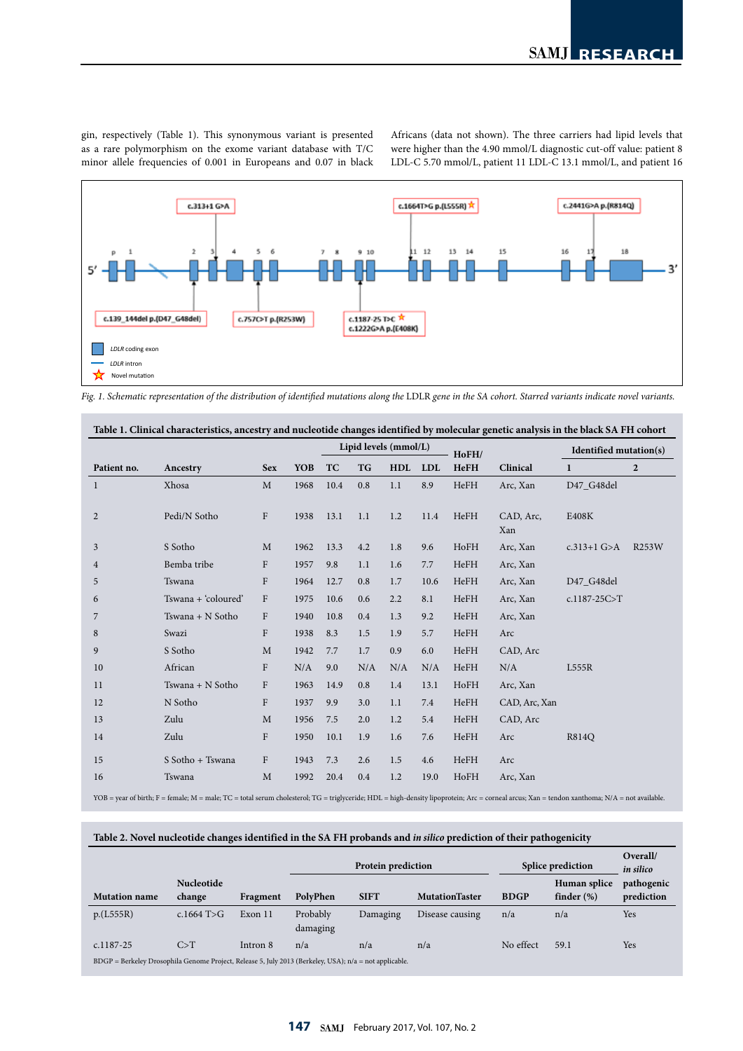gin, respectively (Table 1). This synonymous variant is presented as a rare polymorphism on the exome variant database with T/C minor allele frequencies of 0.001 in Europeans and 0.07 in black

indicate novel variants.

Africans (data not shown). The three carriers had lipid levels that were higher than the 4.90 mmol/L diagnostic cut-off value: patient 8 LDL-C 5.70 mmol/L, patient 11 LDL-C 13.1 mmol/L, and patient 16



Fig. 1. Schematic representation of the distribution of identified mutations along the LDLR gene in the SA cohort. Starred variants indicate novel variants.

| Patient no.    | Ancestry            | <b>Sex</b>   | YOB  | Lipid levels (mmol/L) |           |     |            | HoFH/       |                  | Identified mutation(s) |                |
|----------------|---------------------|--------------|------|-----------------------|-----------|-----|------------|-------------|------------------|------------------------|----------------|
|                |                     |              |      | <b>TC</b>             | <b>TG</b> | HDL | <b>LDL</b> | <b>HeFH</b> | Clinical         | $\mathbf{1}$           | $\overline{2}$ |
| $\mathbf{1}$   | Xhosa               | $\mathbf{M}$ | 1968 | 10.4                  | 0.8       | 1.1 | 8.9        | HeFH        | Arc, Xan         | D47 G48del             |                |
| $\overline{2}$ | Pedi/N Sotho        | F            | 1938 | 13.1                  | 1.1       | 1.2 | 11.4       | HeFH        | CAD, Arc,<br>Xan | E408K                  |                |
| $\mathfrak{Z}$ | S Sotho             | $\mathbf{M}$ | 1962 | 13.3                  | 4.2       | 1.8 | 9.6        | HoFH        | Arc, Xan         | c.313+1 $G > A$        | <b>R253W</b>   |
| $\overline{4}$ | Bemba tribe         | $\rm F$      | 1957 | 9.8                   | 1.1       | 1.6 | 7.7        | HeFH        | Arc, Xan         |                        |                |
| 5              | Tswana              | $\mathbf{F}$ | 1964 | 12.7                  | 0.8       | 1.7 | 10.6       | HeFH        | Arc, Xan         | D47 G48del             |                |
| 6              | Tswana + 'coloured' | F            | 1975 | 10.6                  | 0.6       | 2.2 | 8.1        | HeFH        | Arc, Xan         | $c.1187-25C>T$         |                |
| $\overline{7}$ | Tswana + N Sotho    | $\mathbf{F}$ | 1940 | 10.8                  | 0.4       | 1.3 | 9.2        | HeFH        | Arc, Xan         |                        |                |
| $\,$ 8 $\,$    | Swazi               | $\Gamma$     | 1938 | 8.3                   | 1.5       | 1.9 | 5.7        | HeFH        | Arc              |                        |                |
| $\overline{9}$ | S Sotho             | M            | 1942 | 7.7                   | 1.7       | 0.9 | 6.0        | HeFH        | CAD, Arc         |                        |                |
| 10             | African             | F            | N/A  | 9.0                   | N/A       | N/A | N/A        | HeFH        | N/A              | L555R                  |                |
| 11             | Tswana + N Sotho    | F            | 1963 | 14.9                  | 0.8       | 1.4 | 13.1       | HoFH        | Arc, Xan         |                        |                |
| 12             | N Sotho             | F            | 1937 | 9.9                   | 3.0       | 1.1 | 7.4        | HeFH        | CAD, Arc, Xan    |                        |                |
| 13             | Zulu                | $\mathbf{M}$ | 1956 | 7.5                   | 2.0       | 1.2 | 5.4        | HeFH        | CAD, Arc         |                        |                |
| 14             | Zulu                | ${\rm F}$    | 1950 | 10.1                  | 1.9       | 1.6 | 7.6        | HeFH        | Arc              | <b>R814Q</b>           |                |
| 15             | S Sotho + Tswana    | F            | 1943 | 7.3                   | 2.6       | 1.5 | 4.6        | HeFH        | Arc              |                        |                |
| 16             | Tswana              | $\mathbf{M}$ | 1992 | 20.4                  | 0.4       | 1.2 | 19.0       | HoFH        | Arc, Xan         |                        |                |

YOB = year of birth; F = female; M = male; TC = total serum cholesterol; TG = triglyceride; HDL = high-density lipoprotein; Arc = corneal arcus; Xan = tendon xanthoma; N/A = not available.

# **Table 2. Novel nucleotide changes identified in the SA FH probands and** *in silico* **prediction of their pathogenicity**

|                                                                                                                   |                      |          |                      | <b>Protein prediction</b> |                       | <b>Splice prediction</b> |                               | Overall/<br>in silico    |  |  |  |
|-------------------------------------------------------------------------------------------------------------------|----------------------|----------|----------------------|---------------------------|-----------------------|--------------------------|-------------------------------|--------------------------|--|--|--|
| <b>Mutation name</b>                                                                                              | Nucleotide<br>change | Fragment | PolyPhen             | <b>SIFT</b>               | <b>MutationTaster</b> | <b>BDGP</b>              | Human splice<br>finder $(\%)$ | pathogenic<br>prediction |  |  |  |
| p.(L555R)                                                                                                         | c.1664 $T>G$         | Exon 11  | Probably<br>damaging | Damaging                  | Disease causing       | n/a                      | n/a                           | Yes                      |  |  |  |
| $c.1187 - 25$                                                                                                     | C > T                | Intron 8 | n/a                  | n/a                       | n/a                   | No effect                | 59.1                          | Yes                      |  |  |  |
| $B\text{DGP}$ = Berkeley Drosophila Genome Project, Release 5, July 2013 (Berkeley, USA); $n/a$ = not applicable. |                      |          |                      |                           |                       |                          |                               |                          |  |  |  |